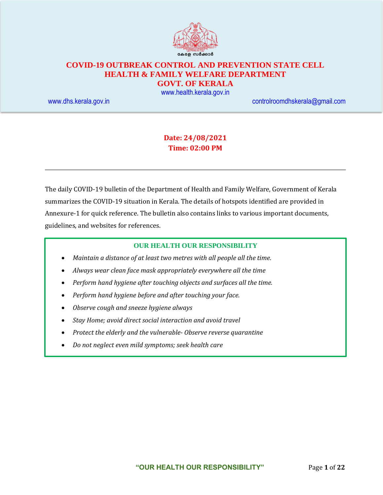

## **COVID-19 OUTBREAK CONTROL AND PREVENTION STATE CELL HEALTH & FAMILY WELFARE DEPARTMENT**

**GOVT. OF KERALA**

[www.health.kerala.gov.in](file:///D:/My%20Documents/Mahesh%20-%20Dont%20Delete/Assistant%20Surgeon/Aardram%20Mission/Projects/COVID%20Control%20Room/Bulletin%20Format%20New/www.health.kerala.gov.in)

[www.dhs.kerala.gov.in](http://www.dhs.kerala.gov.in/) [controlroomdhskerala@gmail.com](mailto:controlroomdhskerala@gmail.com)

## **Date: 24/08/2021 Time: 02:00 PM**

The daily COVID-19 bulletin of the Department of Health and Family Welfare, Government of Kerala summarizes the COVID-19 situation in Kerala. The details of hotspots identified are provided in Annexure-1 for quick reference. The bulletin also contains links to various important documents, guidelines, and websites for references.

#### **OUR HEALTH OUR RESPONSIBILITY**

- *Maintain a distance of at least two metres with all people all the time.*
- *Always wear clean face mask appropriately everywhere all the time*
- *Perform hand hygiene after touching objects and surfaces all the time.*
- *Perform hand hygiene before and after touching your face.*
- *Observe cough and sneeze hygiene always*
- *Stay Home; avoid direct social interaction and avoid travel*
- *Protect the elderly and the vulnerable- Observe reverse quarantine*
- *Do not neglect even mild symptoms; seek health care*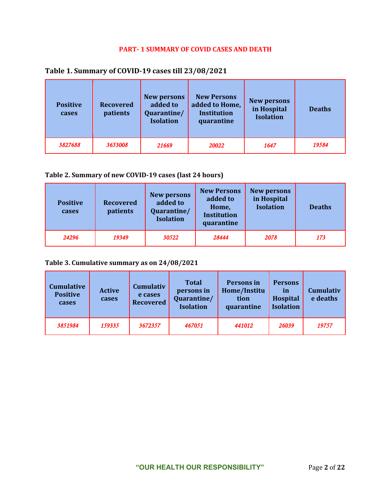#### **PART- 1 SUMMARY OF COVID CASES AND DEATH**

## **Table 1. Summary of COVID-19 cases till 23/08/2021**

| <b>Positive</b><br>cases | <b>Recovered</b><br>patients | <b>New persons</b><br>added to<br>Quarantine/<br><b>Isolation</b> | <b>New Persons</b><br>added to Home,<br><b>Institution</b><br>quarantine | <b>New persons</b><br>in Hospital<br><b>Isolation</b> | <b>Deaths</b> |
|--------------------------|------------------------------|-------------------------------------------------------------------|--------------------------------------------------------------------------|-------------------------------------------------------|---------------|
| 3827688                  | 3653008                      | 21669                                                             | 20022                                                                    | 1647                                                  | 19584         |

#### **Table 2. Summary of new COVID-19 cases (last 24 hours)**

| <b>Positive</b><br>cases | <b>Recovered</b><br>patients | <b>New persons</b><br>added to<br>Quarantine/<br><b>Isolation</b> | <b>New Persons</b><br>added to<br>Home,<br><b>Institution</b><br>quarantine | <b>New persons</b><br>in Hospital<br><b>Isolation</b> | <b>Deaths</b> |
|--------------------------|------------------------------|-------------------------------------------------------------------|-----------------------------------------------------------------------------|-------------------------------------------------------|---------------|
| 24296                    | 19349                        | 30522                                                             | 28444                                                                       | 2078                                                  | 173           |

#### **Table 3. Cumulative summary as on 24/08/2021**

| <b>Cumulative</b><br><b>Positive</b><br>cases | <b>Active</b><br>cases | <b>Cumulativ</b><br>e cases<br><b>Recovered</b> | <b>Total</b><br>persons in<br>Quarantine/<br><b>Isolation</b> | Persons in<br>Home/Institu<br>tion<br>quarantine | <b>Persons</b><br>in<br>Hospital<br><b>Isolation</b> | <b>Cumulativ</b><br>e deaths |
|-----------------------------------------------|------------------------|-------------------------------------------------|---------------------------------------------------------------|--------------------------------------------------|------------------------------------------------------|------------------------------|
| 3851984                                       | 159335                 | 3672357                                         | 467051                                                        | 441012                                           | 26039                                                | 19757                        |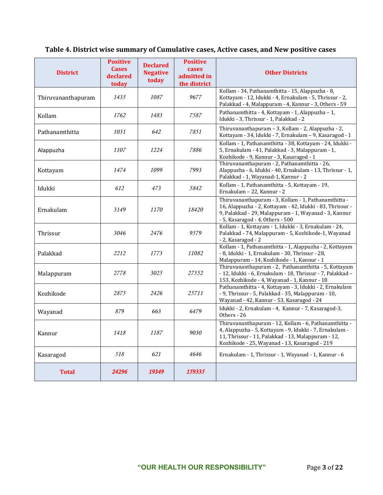# **Table 4. District wise summary of Cumulative cases, Active cases, and New positive cases**

| <b>District</b>    | <b>Positive</b><br><b>Cases</b><br>declared<br>today | <b>Declared</b><br><b>Negative</b><br>today | <b>Positive</b><br>cases<br>admitted in<br>the district | <b>Other Districts</b>                                                                                                                                                                                                  |
|--------------------|------------------------------------------------------|---------------------------------------------|---------------------------------------------------------|-------------------------------------------------------------------------------------------------------------------------------------------------------------------------------------------------------------------------|
| Thiruvananthapuram | 1435                                                 | 1087                                        | 9677                                                    | Kollam - 34, Pathanamthitta - 15, Alappuzha - 8,<br>Kottayam - 12, Idukki - 4, Ernakulam - 5, Thrissur - 2,<br>Palakkad - 4, Malappuram - 4, Kannur - 3, Others - 59                                                    |
| Kollam             | 1762                                                 | 1483                                        | 7587                                                    | Pathanamthitta - 4, Kottayam - 1, Alappuzha - 1,<br>Idukki - 3, Thrissur - 1, Palakkad - 2                                                                                                                              |
| Pathanamthitta     | 1031                                                 | 642                                         | 7851                                                    | Thiruvananthapuram - 3, Kollam - 2, Alappuzha - 2,<br>Kottayam - 34, Idukki - 7, Ernakulam - 9, Kasaragod - 1                                                                                                           |
| Alappuzha          | 1107                                                 | 1224                                        | 7886                                                    | Kollam - 1, Pathanamthitta - 38, Kottayam - 24, Idukki -<br>5, Ernakulam - 41, Palakkad - 3, Malappuram - 1,<br>Kozhikode - 9, Kannur - 3, Kasaragod - 1                                                                |
| Kottayam           | 1474                                                 | 1099                                        | 7993                                                    | Thiruvananthapuram - 2, Pathanamthitta - 26,<br>Alappuzha - 6, Idukki - 40, Ernakulam - 13, Thrissur - 1,<br>Palakkad - 1, Wayanad-1, Kannur - 2                                                                        |
| Idukki             | 612                                                  | 473                                         | 5842                                                    | Kollam - 1, Pathanamthitta - 5, Kottayam - 19,<br>Ernakulam - 22, Kannur - 2                                                                                                                                            |
| Ernakulam          | 3149                                                 | 1170                                        | 18420                                                   | Thiruvananthapuram - 3, Kollam - 1, Pathanamthitta -<br>16, Alappuzha - 2, Kottayam - 42, Idukki - 83, Thrissur -<br>9, Palakkad - 29, Malappuram - 1, Wayanad - 3, Kannur<br>- 5, Kasaragod - 4, Others - 500          |
| Thrissur           | 3046                                                 | 2476                                        | 9579                                                    | Kollam - 1, Kottayam - 1, Idukki - 3, Ernakulam - 24,<br>Palakkad - 74, Malappuram - 5, Kozhikode-1, Wayanad<br>- 2, Kasaragod - 2                                                                                      |
| Palakkad           | 2212                                                 | 1773                                        | 11082                                                   | Kollam - 1, Pathanamthitta - 1, Alappuzha - 2, Kottayam<br>- 8, Idukki - 1, Ernakulam - 30, Thrissur - 28,<br>Malappuram - 14, Kozhikode - 1, Kannur - 1                                                                |
| Malappuram         | 2778                                                 | 3025                                        | 27552                                                   | Thiruvananthapuram - 2, Pathanamthitta - 5, Kottayam<br>- 12, Idukki - 6, Ernakulam - 18, Thrissur - 7, Palakkad -<br>153, Kozhikode - 4, Wayanad - 1, Kannur - 18                                                      |
| Kozhikode          | 2875                                                 | 2426                                        | 25711                                                   | Pathanamthitta - 4, Kottayam - 3, Idukki - 2, Ernakulam<br>- 9, Thrissur - 5, Palakkad - 35, Malappuram - 10,<br>Wayanad - 42, Kannur - 53, Kasaragod - 24                                                              |
| Wayanad            | 879                                                  | 663                                         | 6479                                                    | Idukki - 2, Ernakulam - 4, Kannur - 7, Kasaragod-3,<br>Others - 26                                                                                                                                                      |
| Kannur             | 1418                                                 | 1187                                        | 9030                                                    | Thiruvananthapuram - 12, Kollam - 6, Pathanamthitta -<br>4, Alappuzha - 5, Kottayam - 9, Idukki - 7, Ernakulam -<br>11, Thrissur - 11, Palakkad - 13, Malappuram - 12,<br>Kozhikode - 25, Wayanad - 13, Kasaragod - 219 |
| Kasaragod          | 518                                                  | 621                                         | 4646                                                    | Ernakulam - 1, Thrissur - 1, Wayanad - 1, Kannur - 6                                                                                                                                                                    |
| <b>Total</b>       | 24296                                                | 19349                                       | 159335                                                  |                                                                                                                                                                                                                         |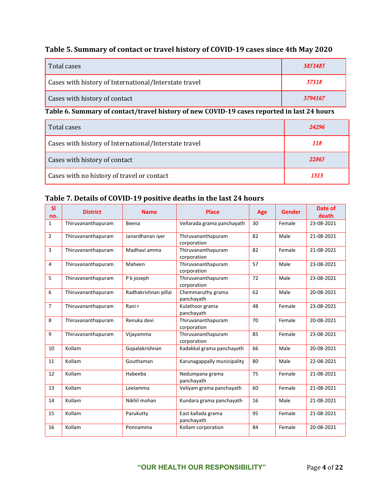## **Table 5. Summary of contact or travel history of COVID-19 cases since 4th May 2020**

| Total cases                                           | 3851485 |
|-------------------------------------------------------|---------|
| Cases with history of International/Interstate travel | 57318   |
| Cases with history of contact                         | 3794167 |

## **Table 6. Summary of contact/travel history of new COVID-19 cases reported in last 24 hours**

| Total cases                                           | 24296 |
|-------------------------------------------------------|-------|
| Cases with history of International/Interstate travel | 118   |
| Cases with history of contact                         | 22865 |
| Cases with no history of travel or contact            | 1313  |

## **Table 7. Details of COVID-19 positive deaths in the last 24 hours**

| <b>SI</b><br>no. | <b>District</b>    | <b>Name</b>          | <b>Place</b>                      | Age | <b>Gender</b> | Date of<br>death |
|------------------|--------------------|----------------------|-----------------------------------|-----|---------------|------------------|
| $\mathbf{1}$     | Thiruvananthapuram | Beena                | Vellarada grama panchayath        | 30  | Female        | 23-08-2021       |
| $\overline{2}$   | Thiruvananthapuram | Janardhanan iyer     | Thiruvananthapuram<br>corporation | 82  | Male          | 21-08-2021       |
| 3                | Thiruvananthapuram | Madhavi amma         | Thiruvananthapuram<br>corporation | 82  | Female        | 21-08-2021       |
| $\overline{4}$   | Thiruvananthapuram | Maheen               | Thiruvananthapuram<br>corporation | 57  | Male          | 23-08-2021       |
| 5                | Thiruvananthapuram | P k joseph           | Thiruvananthapuram<br>corporation | 72  | Male          | 23-08-2021       |
| 6                | Thiruvananthapuram | Radhakrishnan pillai | Chemmaruthy grama<br>panchayath   | 62  | Male          | 20-08-2021       |
| $\overline{7}$   | Thiruvananthapuram | Rani r               | Kulathoor grama<br>panchayath     | 48  | Female        | 23-08-2021       |
| 8                | Thiruvananthapuram | Renuka devi          | Thiruvananthapuram<br>corporation | 70  | Female        | 20-08-2021       |
| 9                | Thiruvananthapuram | Vijayamma            | Thiruvananthapuram<br>corporation | 85  | Female        | 23-08-2021       |
| 10               | Kollam             | Gopalakrishnan       | Kadakkal grama panchayath         | 66  | Male          | 20-08-2021       |
| 11               | Kollam             | Gouthaman            | Karunagappally municipality       | 80  | Male          | 22-08-2021       |
| 12               | Kollam             | Habeeba              | Nedumpana grama<br>panchayath     | 75  | Female        | 21-08-2021       |
| 13               | Kollam             | Leelamma             | Veliyam grama panchayath          | 60  | Female        | 21-08-2021       |
| 14               | Kollam             | Nikhil mohan         | Kundara grama panchayath          | 16  | Male          | 21-08-2021       |
| 15               | Kollam             | Parukutty            | East kallada grama<br>panchayath  | 95  | Female        | 21-08-2021       |
| 16               | Kollam             | Ponnamma             | Kollam corporation                | 84  | Female        | 20-08-2021       |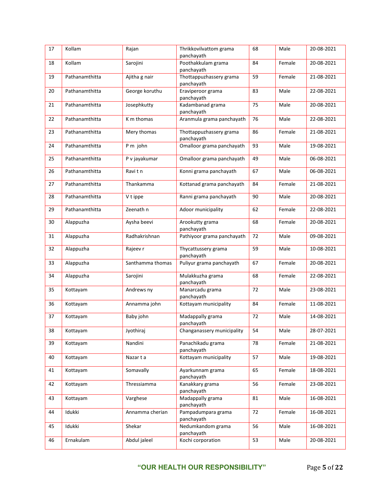| 17 | Kollam         | Rajan            | Thrikkovilvattom grama<br>panchayath  | 68 | Male   | 20-08-2021 |
|----|----------------|------------------|---------------------------------------|----|--------|------------|
| 18 | Kollam         | Sarojini         | Poothakkulam grama<br>panchayath      | 84 | Female | 20-08-2021 |
| 19 | Pathanamthitta | Ajitha g nair    | Thottappuzhassery grama<br>panchayath | 59 | Female | 21-08-2021 |
| 20 | Pathanamthitta | George koruthu   | Eraviperoor grama<br>panchayath       | 83 | Male   | 22-08-2021 |
| 21 | Pathanamthitta | Josephkutty      | Kadambanad grama<br>panchayath        | 75 | Male   | 20-08-2021 |
| 22 | Pathanamthitta | K m thomas       | Aranmula grama panchayath             | 76 | Male   | 22-08-2021 |
| 23 | Pathanamthitta | Mery thomas      | Thottappuzhassery grama<br>panchayath | 86 | Female | 21-08-2021 |
| 24 | Pathanamthitta | P m john         | Omalloor grama panchayath             | 93 | Male   | 19-08-2021 |
| 25 | Pathanamthitta | P v jayakumar    | Omalloor grama panchayath             | 49 | Male   | 06-08-2021 |
| 26 | Pathanamthitta | Ravitn           | Konni grama panchayath                | 67 | Male   | 06-08-2021 |
| 27 | Pathanamthitta | Thankamma        | Kottanad grama panchayath             | 84 | Female | 21-08-2021 |
| 28 | Pathanamthitta | V t ippe         | Ranni grama panchayath                | 90 | Male   | 20-08-2021 |
| 29 | Pathanamthitta | Zeenath n        | Adoor municipality                    | 62 | Female | 22-08-2021 |
| 30 | Alappuzha      | Aysha beevi      | Arookutty grama<br>panchayath         | 68 | Female | 20-08-2021 |
| 31 | Alappuzha      | Radhakrishnan    | Pathiyoor grama panchayath            | 72 | Male   | 09-08-2021 |
| 32 | Alappuzha      | Rajeev r         | Thycattussery grama<br>panchayath     | 59 | Male   | 10-08-2021 |
| 33 | Alappuzha      | Santhamma thomas | Puliyur grama panchayath              | 67 | Female | 20-08-2021 |
| 34 | Alappuzha      | Sarojini         | Mulakkuzha grama<br>panchayath        | 68 | Female | 22-08-2021 |
| 35 | Kottayam       | Andrews ny       | Manarcadu grama<br>panchayath         | 72 | Male   | 23-08-2021 |
| 36 | Kottayam       | Annamma john     | Kottayam municipality                 | 84 | Female | 11-08-2021 |
| 37 | Kottayam       | Baby john        | Madappally grama<br>panchayath        | 72 | Male   | 14-08-2021 |
| 38 | Kottayam       | Jyothiraj        | Changanassery municipality            | 54 | Male   | 28-07-2021 |
| 39 | Kottayam       | Nandini          | Panachikadu grama<br>panchayath       | 78 | Female | 21-08-2021 |
| 40 | Kottayam       | Nazarta          | Kottayam municipality                 | 57 | Male   | 19-08-2021 |
| 41 | Kottayam       | Somavally        | Ayarkunnam grama<br>panchayath        | 65 | Female | 18-08-2021 |
| 42 | Kottayam       | Thressiamma      | Kanakkary grama<br>panchayath         | 56 | Female | 23-08-2021 |
| 43 | Kottayam       | Varghese         | Madappally grama<br>panchayath        | 81 | Male   | 16-08-2021 |
| 44 | Idukki         | Annamma cherian  | Pampadumpara grama<br>panchayath      | 72 | Female | 16-08-2021 |
| 45 | Idukki         | Shekar           | Nedumkandom grama<br>panchayath       | 56 | Male   | 16-08-2021 |
| 46 | Ernakulam      | Abdul jaleel     | Kochi corporation                     | 53 | Male   | 20-08-2021 |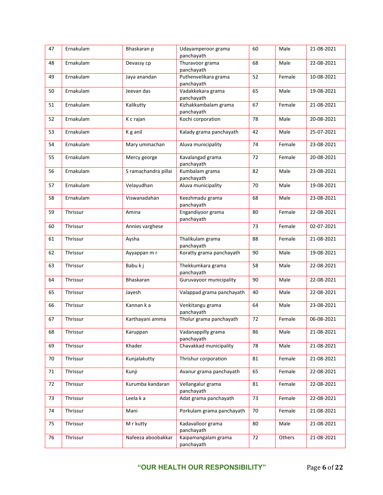| 47 | Ernakulam | Bhaskaran p          | Udayamperoor grama<br>panchayath   | 60 | Male   | 21-08-2021 |
|----|-----------|----------------------|------------------------------------|----|--------|------------|
| 48 | Ernakulam | Devassy cp           | Thuravoor grama<br>panchayath      | 68 | Male   | 22-08-2021 |
| 49 | Ernakulam | Jaya anandan         | Puthenvelikara grama<br>panchayath | 52 | Female | 10-08-2021 |
| 50 | Ernakulam | Jeevan das           | Vadakkekara grama<br>panchayath    | 65 | Male   | 19-08-2021 |
| 51 | Ernakulam | Kalikutty            | Kizhakkambalam grama<br>panchayath | 67 | Female | 21-08-2021 |
| 52 | Ernakulam | K c rajan            | Kochi corporation                  | 78 | Male   | 20-08-2021 |
| 53 | Ernakulam | K g anil             | Kalady grama panchayath            | 42 | Male   | 25-07-2021 |
| 54 | Ernakulam | Mary ummachan        | Aluva municipality                 | 74 | Female | 23-08-2021 |
| 55 | Ernakulam | Mercy george         | Kavalangad grama<br>panchayath     | 72 | Female | 20-08-2021 |
| 56 | Ernakulam | S ramachandra pillai | Kumbalam grama<br>panchayath       | 82 | Male   | 23-08-2021 |
| 57 | Ernakulam | Velayudhan           | Aluva municipality                 | 70 | Male   | 19-08-2021 |
| 58 | Ernakulam | Viswanadahan         | Keezhmadu grama<br>panchayath      | 68 | Male   | 23-08-2021 |
| 59 | Thrissur  | Amina                | Engandiyoor grama<br>panchayath    | 80 | Female | 22-08-2021 |
| 60 | Thrissur  | Annies varghese      |                                    | 73 | Female | 02-07-2021 |
| 61 | Thrissur  | Aysha                | Thalikulam grama<br>panchayath     | 88 | Female | 21-08-2021 |
| 62 | Thrissur  | Ayyappan m r         | Koratty grama panchayath           | 90 | Male   | 19-08-2021 |
| 63 | Thrissur  | Babu k j             | Thekkumkara grama<br>panchayath    | 58 | Male   | 22-08-2021 |
| 64 | Thrissur  | <b>Bhaskaran</b>     | Guruvayoor municipality            | 90 | Male   | 22-08-2021 |
| 65 | Thrissur  | Jayesh               | Valappad grama panchayath          | 40 | Male   | 22-08-2021 |
| 66 | Thrissur  | Kannan ka            | Venkitangu grama<br>panchayath     | 64 | Male   | 23-08-2021 |
| 67 | Thrissur  | Karthayani amma      | Tholur grama panchayath            | 72 | Female | 06-08-2021 |
| 68 | Thrissur  | Karuppan             | Vadanappilly grama<br>panchayath   | 86 | Male   | 21-08-2021 |
| 69 | Thrissur  | Khader               | Chavakkad municipality             | 78 | Male   | 21-08-2021 |
| 70 | Thrissur  | Kunjalakutty         | Thrishur corporation               | 81 | Female | 21-08-2021 |
| 71 | Thrissur  | Kunji                | Avanur grama panchayath            | 65 | Female | 22-08-2021 |
| 72 | Thrissur  | Kurumba kandaran     | Vellangalur grama<br>panchayath    | 81 | Female | 22-08-2021 |
| 73 | Thrissur  | Leela k a            | Adat grama panchayath              | 73 | Female | 22-08-2021 |
| 74 | Thrissur  | Mani                 | Porkulam grama panchayath          | 70 | Female | 21-08-2021 |
| 75 | Thrissur  | M r kutty            | Kadavalloor grama<br>panchayath    | 80 | Male   | 21-08-2021 |
| 76 | Thrissur  | Nafeeza aboobakkar   | Kaipamangalam grama<br>panchayath  | 72 | Others | 21-08-2021 |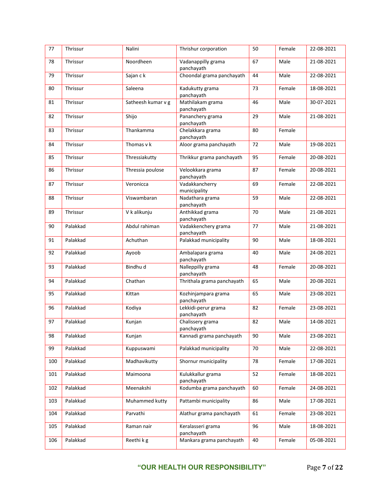| 77  | Thrissur | Nalini             | Thrishur corporation              | 50 | Female | 22-08-2021 |
|-----|----------|--------------------|-----------------------------------|----|--------|------------|
| 78  | Thrissur | Noordheen          | Vadanappilly grama<br>panchayath  | 67 | Male   | 21-08-2021 |
| 79  | Thrissur | Sajan c k          | Choondal grama panchayath         | 44 | Male   | 22-08-2021 |
| 80  | Thrissur | Saleena            | Kadukutty grama<br>panchayath     | 73 | Female | 18-08-2021 |
| 81  | Thrissur | Satheesh kumar v g | Mathilakam grama<br>panchayath    | 46 | Male   | 30-07-2021 |
| 82  | Thrissur | Shijo              | Pananchery grama<br>panchayath    | 29 | Male   | 21-08-2021 |
| 83  | Thrissur | Thankamma          | Chelakkara grama<br>panchayath    | 80 | Female |            |
| 84  | Thrissur | Thomas v k         | Aloor grama panchayath            | 72 | Male   | 19-08-2021 |
| 85  | Thrissur | Thressiakutty      | Thrikkur grama panchayath         | 95 | Female | 20-08-2021 |
| 86  | Thrissur | Thressia poulose   | Velookkara grama<br>panchayath    | 87 | Female | 20-08-2021 |
| 87  | Thrissur | Veronicca          | Vadakkancherry<br>municipality    | 69 | Female | 22-08-2021 |
| 88  | Thrissur | Viswambaran        | Nadathara grama<br>panchayath     | 59 | Male   | 22-08-2021 |
| 89  | Thrissur | V k alikunju       | Anthikkad grama<br>panchayath     | 70 | Male   | 21-08-2021 |
| 90  | Palakkad | Abdul rahiman      | Vadakkenchery grama<br>panchayath | 77 | Male   | 21-08-2021 |
| 91  | Palakkad | Achuthan           | Palakkad municipality             | 90 | Male   | 18-08-2021 |
| 92  | Palakkad | Ayoob              | Ambalapara grama<br>panchayath    | 40 | Male   | 24-08-2021 |
| 93  | Palakkad | Bindhu d           | Nalleppilly grama<br>panchayath   | 48 | Female | 20-08-2021 |
| 94  | Palakkad | Chathan            | Thrithala grama panchayath        | 65 | Male   | 20-08-2021 |
| 95  | Palakkad | Kittan             | Kozhinjampara grama<br>panchayath | 65 | Male   | 23-08-2021 |
| 96  | Palakkad | Kodiya             | Lekkidi-perur grama<br>panchayath | 82 | Female | 23-08-2021 |
| 97  | Palakkad | Kunjan             | Chalissery grama<br>panchayath    | 82 | Male   | 14-08-2021 |
| 98  | Palakkad | Kunjan             | Kannadi grama panchayath          | 90 | Male   | 23-08-2021 |
| 99  | Palakkad | Kuppuswami         | Palakkad municipality             | 70 | Male   | 22-08-2021 |
| 100 | Palakkad | Madhavikutty       | Shornur municipality              | 78 | Female | 17-08-2021 |
| 101 | Palakkad | Maimoona           | Kulukkallur grama<br>panchayath   | 52 | Female | 18-08-2021 |
| 102 | Palakkad | Meenakshi          | Kodumba grama panchayath          | 60 | Female | 24-08-2021 |
| 103 | Palakkad | Muhammed kutty     | Pattambi municipality             | 86 | Male   | 17-08-2021 |
| 104 | Palakkad | Parvathi           | Alathur grama panchayath          | 61 | Female | 23-08-2021 |
| 105 | Palakkad | Raman nair         | Keralasseri grama<br>panchayath   | 96 | Male   | 18-08-2021 |
| 106 | Palakkad | Reethi k g         | Mankara grama panchayath          | 40 | Female | 05-08-2021 |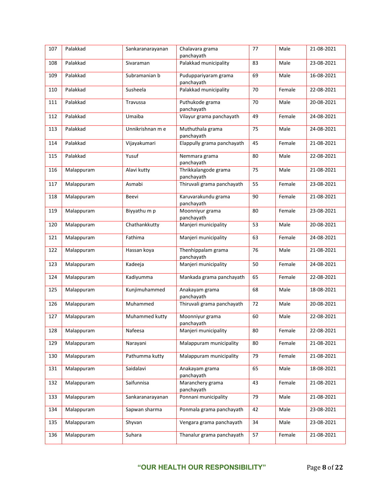| 107 | Palakkad   | Sankaranarayanan | Chalavara grama<br>panchayath      | 77 | Male   | 21-08-2021 |
|-----|------------|------------------|------------------------------------|----|--------|------------|
| 108 | Palakkad   | Sivaraman        | Palakkad municipality              | 83 | Male   | 23-08-2021 |
| 109 | Palakkad   | Subramanian b    | Puduppariyaram grama<br>panchayath | 69 | Male   | 16-08-2021 |
| 110 | Palakkad   | Susheela         | Palakkad municipality              | 70 | Female | 22-08-2021 |
| 111 | Palakkad   | Travussa         | Puthukode grama<br>panchayath      | 70 | Male   | 20-08-2021 |
| 112 | Palakkad   | Umaiba           | Vilayur grama panchayath           | 49 | Female | 24-08-2021 |
| 113 | Palakkad   | Unnikrishnan m e | Muthuthala grama<br>panchayath     | 75 | Male   | 24-08-2021 |
| 114 | Palakkad   | Vijayakumari     | Elappully grama panchayath         | 45 | Female | 21-08-2021 |
| 115 | Palakkad   | Yusuf            | Nemmara grama<br>panchayath        | 80 | Male   | 22-08-2021 |
| 116 | Malappuram | Alavi kutty      | Thrikkalangode grama<br>panchayath | 75 | Male   | 21-08-2021 |
| 117 | Malappuram | Asmabi           | Thiruvali grama panchayath         | 55 | Female | 23-08-2021 |
| 118 | Malappuram | Beevi            | Karuvarakundu grama<br>panchayath  | 90 | Female | 21-08-2021 |
| 119 | Malappuram | Biyyathu m p     | Moonniyur grama<br>panchayath      | 80 | Female | 23-08-2021 |
| 120 | Malappuram | Chathankkutty    | Manjeri municipality               | 53 | Male   | 20-08-2021 |
| 121 | Malappuram | Fathima          | Manjeri municipality               | 63 | Female | 24-08-2021 |
| 122 | Malappuram | Hassan koya      | Thenhippalam grama<br>panchayath   | 76 | Male   | 21-08-2021 |
| 123 | Malappuram | Kadeeja          | Manjeri municipality               | 50 | Female | 24-08-2021 |
| 124 | Malappuram | Kadiyumma        | Mankada grama panchayath           | 65 | Female | 22-08-2021 |
| 125 | Malappuram | Kunjimuhammed    | Anakayam grama<br>panchayath       | 68 | Male   | 18-08-2021 |
| 126 | Malappuram | Muhammed         | Thiruvali grama panchayath         | 72 | Male   | 20-08-2021 |
| 127 | Malappuram | Muhammed kutty   | Moonniyur grama<br>panchayath      | 60 | Male   | 22-08-2021 |
| 128 | Malappuram | Nafeesa          | Manjeri municipality               | 80 | Female | 22-08-2021 |
| 129 | Malappuram | Narayani         | Malappuram municipality            | 80 | Female | 21-08-2021 |
| 130 | Malappuram | Pathumma kutty   | Malappuram municipality            | 79 | Female | 21-08-2021 |
| 131 | Malappuram | Saidalavi        | Anakayam grama<br>panchayath       | 65 | Male   | 18-08-2021 |
| 132 | Malappuram | Saifunnisa       | Maranchery grama<br>panchayath     | 43 | Female | 21-08-2021 |
| 133 | Malappuram | Sankaranarayanan | Ponnani municipality               | 79 | Male   | 21-08-2021 |
| 134 | Malappuram | Sapwan sharma    | Ponmala grama panchayath           | 42 | Male   | 23-08-2021 |
| 135 | Malappuram | Shyvan           | Vengara grama panchayath           | 34 | Male   | 23-08-2021 |
| 136 | Malappuram | Suhara           | Thanalur grama panchayath          | 57 | Female | 21-08-2021 |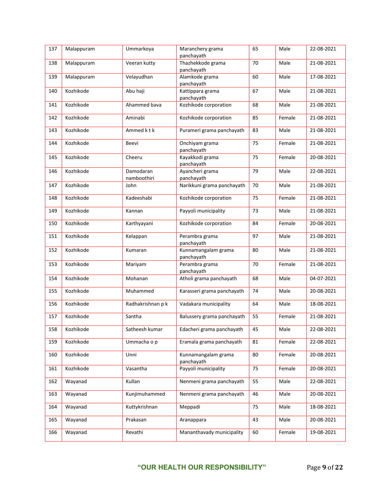| 137 | Malappuram | Ummarkoya                | Maranchery grama<br>panchayath    | 65 | Male   | 22-08-2021 |
|-----|------------|--------------------------|-----------------------------------|----|--------|------------|
| 138 | Malappuram | Veeran kutty             | Thazhekkode grama<br>panchayath   | 70 | Male   | 21-08-2021 |
| 139 | Malappuram | Velayudhan               | Alamkode grama<br>panchayath      | 60 | Male   | 17-08-2021 |
| 140 | Kozhikode  | Abu haji                 | Kattippara grama<br>panchayath    | 67 | Male   | 21-08-2021 |
| 141 | Kozhikode  | Ahammed bava             | Kozhikode corporation             | 68 | Male   | 21-08-2021 |
| 142 | Kozhikode  | Aminabi                  | Kozhikode corporation             | 85 | Female | 21-08-2021 |
| 143 | Kozhikode  | Ammed k t k              | Purameri grama panchayath         | 83 | Male   | 21-08-2021 |
| 144 | Kozhikode  | Beevi                    | Onchiyam grama<br>panchayath      | 75 | Female | 21-08-2021 |
| 145 | Kozhikode  | Cheeru                   | Kayakkodi grama<br>panchayath     | 75 | Female | 20-08-2021 |
| 146 | Kozhikode  | Damodaran<br>namboothiri | Ayancheri grama<br>panchayath     | 79 | Male   | 22-08-2021 |
| 147 | Kozhikode  | John                     | Narikkuni grama panchayath        | 70 | Male   | 21-08-2021 |
| 148 | Kozhikode  | Kadeeshabi               | Kozhikode corporation             | 75 | Female | 21-08-2021 |
| 149 | Kozhikode  | Kannan                   | Payyoli municipality              | 73 | Male   | 21-08-2021 |
| 150 | Kozhikode  | Karthyayani              | Kozhikode corporation             | 84 | Female | 20-08-2021 |
| 151 | Kozhikode  | Kelappan                 | Perambra grama<br>panchayath      | 97 | Male   | 21-08-2021 |
| 152 | Kozhikode  | Kumaran                  | Kunnamangalam grama<br>panchayath | 80 | Male   | 21-08-2021 |
| 153 | Kozhikode  | Mariyam                  | Perambra grama<br>panchayath      | 70 | Female | 21-08-2021 |
| 154 | Kozhikode  | Mohanan                  | Atholi grama panchayath           | 68 | Male   | 04-07-2021 |
| 155 | Kozhikode  | Muhammed                 | Karasseri grama panchayath        | 74 | Male   | 20-08-2021 |
| 156 | Kozhikode  | Radhakrishnan p k        | Vadakara municipality             | 64 | Male   | 18-08-2021 |
| 157 | Kozhikode  | Santha                   | Balussery grama panchayath        | 55 | Female | 21-08-2021 |
| 158 | Kozhikode  | Satheesh kumar           | Edacheri grama panchayath         | 45 | Male   | 22-08-2021 |
| 159 | Kozhikode  | Ummacha o p              | Eramala grama panchayath          | 81 | Female | 22-08-2021 |
| 160 | Kozhikode  | Unni                     | Kunnamangalam grama<br>panchayath | 80 | Female | 20-08-2021 |
| 161 | Kozhikode  | Vasantha                 | Payyoli municipality              | 75 | Female | 20-08-2021 |
| 162 | Wayanad    | Kullan                   | Nenmeni grama panchayath          | 55 | Male   | 22-08-2021 |
| 163 | Wayanad    | Kunjimuhammed            | Nenmeni grama panchayath          | 46 | Male   | 20-08-2021 |
| 164 | Wayanad    | Kuttykrishnan            | Meppadi                           | 75 | Male   | 18-08-2021 |
| 165 | Wayanad    | Prakasan                 | Aranappara                        | 43 | Male   | 20-08-2021 |
| 166 | Wayanad    | Revathi                  | Mananthavady municipality         | 60 | Female | 19-08-2021 |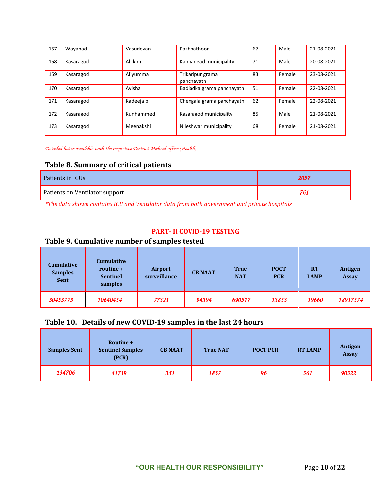| 167 | Wayanad   | Vasudevan | Pazhpathoor                    | 67 | Male   | 21-08-2021 |
|-----|-----------|-----------|--------------------------------|----|--------|------------|
| 168 | Kasaragod | Ali k m   | Kanhangad municipality         | 71 | Male   | 20-08-2021 |
| 169 | Kasaragod | Aliyumma  | Trikaripur grama<br>panchayath | 83 | Female | 23-08-2021 |
| 170 | Kasaragod | Avisha    | Badiadka grama panchayath      | 51 | Female | 22-08-2021 |
| 171 | Kasaragod | Kadeeja p | Chengala grama panchayath      | 62 | Female | 22-08-2021 |
| 172 | Kasaragod | Kunhammed | Kasaragod municipality         | 85 | Male   | 21-08-2021 |
| 173 | Kasaragod | Meenakshi | Nileshwar municipality         | 68 | Female | 21-08-2021 |

*Detailed list is available with the respective District Medical office (Health)*

#### **Table 8. Summary of critical patients**

| Patients in ICUs               | 2057 |
|--------------------------------|------|
| Patients on Ventilator support | 761  |

*\*The data shown contains ICU and Ventilator data from both government and private hospitals*

#### **PART- II COVID-19 TESTING**

## **Table 9. Cumulative number of samples tested**

| <b>Cumulative</b><br><b>Samples</b><br><b>Sent</b> | Cumulative<br>routine +<br><b>Sentinel</b><br>samples | <b>Airport</b><br>surveillance | <b>CB NAAT</b> | <b>True</b><br><b>NAT</b> | <b>POCT</b><br><b>PCR</b> | <b>RT</b><br><b>LAMP</b> | Antigen<br><b>Assay</b> |
|----------------------------------------------------|-------------------------------------------------------|--------------------------------|----------------|---------------------------|---------------------------|--------------------------|-------------------------|
| 30453773                                           | 10640454                                              | 77321                          | 94394          | 690517                    | 13853                     | 19660                    | 18917574                |

#### **Table 10. Details of new COVID-19 samples in the last 24 hours**

| <b>Samples Sent</b> | Routine +<br><b>Sentinel Samples</b><br>(PCR) | <b>CB NAAT</b> | <b>True NAT</b> | <b>POCT PCR</b> | <b>RT LAMP</b> | Antigen<br><b>Assay</b> |
|---------------------|-----------------------------------------------|----------------|-----------------|-----------------|----------------|-------------------------|
| 134706              | 41739                                         | 351            | 1837            | 96              | 361            | 90322                   |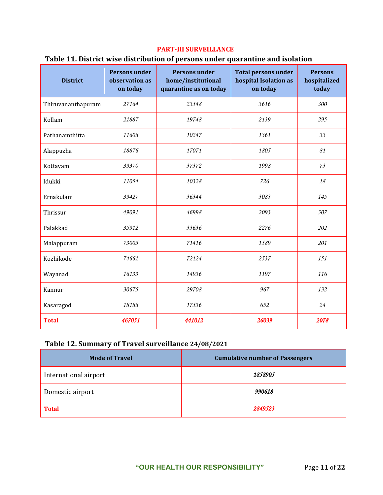#### **PART-III SURVEILLANCE**

#### **Table 11. District wise distribution of persons under quarantine and isolation**

| <b>District</b>    | <b>Persons under</b><br>observation as<br>on today | <b>Persons under</b><br>home/institutional<br>quarantine as on today | <b>Total persons under</b><br>hospital Isolation as<br>on today | <b>Persons</b><br>hospitalized<br>today |
|--------------------|----------------------------------------------------|----------------------------------------------------------------------|-----------------------------------------------------------------|-----------------------------------------|
| Thiruvananthapuram | 27164                                              | 23548                                                                | 3616                                                            | 300                                     |
| Kollam             | 21887                                              | 19748                                                                | 2139                                                            | 295                                     |
| Pathanamthitta     | 11608                                              | 10247                                                                | 1361                                                            | 33                                      |
| Alappuzha          | 18876                                              | 17071                                                                | 1805                                                            | 81                                      |
| Kottayam           | 39370                                              | 37372                                                                | 1998                                                            | 73                                      |
| Idukki             | 11054                                              | 10328                                                                | 726                                                             | 18                                      |
| Ernakulam          | 39427                                              | 36344                                                                | 3083                                                            | 145                                     |
| Thrissur           | 49091                                              | 46998                                                                | 2093                                                            | 307                                     |
| Palakkad           | 35912                                              | 33636                                                                | 2276                                                            | 202                                     |
| Malappuram         | 73005                                              | 71416                                                                | 1589                                                            | 201                                     |
| Kozhikode          | 74661                                              | 72124                                                                | 2537                                                            | 151                                     |
| Wayanad            | 16133                                              | 14936                                                                | 1197                                                            | 116                                     |
| Kannur             | 30675                                              | 29708                                                                | 967                                                             | 132                                     |
| Kasaragod          | 18188                                              | 17536                                                                | 652                                                             | 24                                      |
| <b>Total</b>       | 467051                                             | 441012                                                               | 26039                                                           | 2078                                    |

## **Table 12. Summary of Travel surveillance 24/08/2021**

| <b>Mode of Travel</b> | <b>Cumulative number of Passengers</b> |
|-----------------------|----------------------------------------|
| International airport | 1858905                                |
| Domestic airport      | 990618                                 |
| <b>Total</b>          | 2849523                                |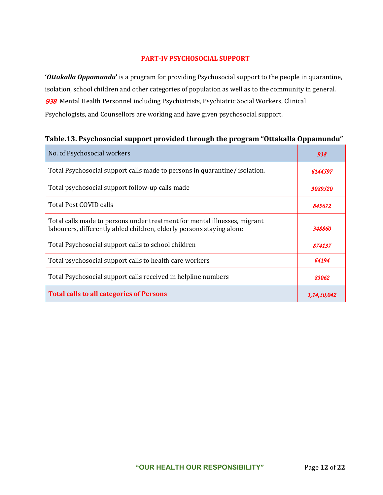#### **PART-IV PSYCHOSOCIAL SUPPORT**

**'***Ottakalla Oppamundu***'** is a program for providing Psychosocial support to the people in quarantine, isolation, school children and other categories of population as well as to the community in general. 938 Mental Health Personnel including Psychiatrists, Psychiatric Social Workers, Clinical Psychologists, and Counsellors are working and have given psychosocial support.

| No. of Psychosocial workers                                                                                                                       | 938        |
|---------------------------------------------------------------------------------------------------------------------------------------------------|------------|
| Total Psychosocial support calls made to persons in quarantine/ isolation.                                                                        | 6144597    |
| Total psychosocial support follow-up calls made                                                                                                   | 3089520    |
| Total Post COVID calls                                                                                                                            | 845672     |
| Total calls made to persons under treatment for mental illnesses, migrant<br>labourers, differently abled children, elderly persons staying alone | 348860     |
| Total Psychosocial support calls to school children                                                                                               | 874137     |
| Total psychosocial support calls to health care workers                                                                                           | 64194      |
| Total Psychosocial support calls received in helpline numbers                                                                                     | 83062      |
| <b>Total calls to all categories of Persons</b>                                                                                                   | 1,14,50,04 |

## **Table.13. Psychosocial support provided through the program "Ottakalla Oppamundu"**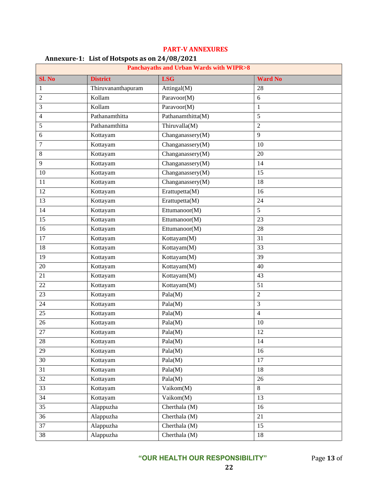| $\frac{1}{2}$<br><b>Panchayaths and Urban Wards with WIPR&gt;8</b> |                    |                   |                 |  |
|--------------------------------------------------------------------|--------------------|-------------------|-----------------|--|
| Sl. No                                                             | <b>District</b>    | <b>LSG</b>        | <b>Ward No</b>  |  |
| 1                                                                  | Thiruvananthapuram | Attingal $(M)$    | 28              |  |
| $\overline{c}$                                                     | Kollam             | Paravoor(M)       | 6               |  |
| 3                                                                  | Kollam             | Paravoor(M)       | $\mathbf{1}$    |  |
| 4                                                                  | Pathanamthitta     | Pathanamthitta(M) | 5               |  |
| 5                                                                  | Pathanamthitta     | Thiruvalla(M)     | $\overline{2}$  |  |
| 6                                                                  | Kottayam           | Changanassery(M)  | 9               |  |
| $\tau$                                                             | Kottayam           | Changanassery(M)  | 10              |  |
| 8                                                                  | Kottayam           | Changanassery(M)  | 20              |  |
| 9                                                                  | Kottayam           | Changanassery(M)  | 14              |  |
| 10                                                                 | Kottayam           | Changanassery(M)  | 15              |  |
| 11                                                                 | Kottayam           | Changanassery(M)  | 18              |  |
| 12                                                                 | Kottayam           | Erattupetta(M)    | 16              |  |
| 13                                                                 | Kottayam           | Erattupetta(M)    | 24              |  |
| 14                                                                 | Kottayam           | Ettumanoor(M)     | 5               |  |
| 15                                                                 | Kottayam           | Ettumanoor(M)     | 23              |  |
| 16                                                                 | Kottayam           | Ettumanoor(M)     | 28              |  |
| 17                                                                 | Kottayam           | Kottayam(M)       | 31              |  |
| 18                                                                 | Kottayam           | Kottayam(M)       | 33              |  |
| 19                                                                 | Kottayam           | Kottayam(M)       | 39              |  |
| 20                                                                 | Kottayam           | Kottayam(M)       | 40              |  |
| 21                                                                 | Kottayam           | Kottayam(M)       | 43              |  |
| 22                                                                 | Kottayam           | Kottayam(M)       | 51              |  |
| 23                                                                 | Kottayam           | Pala(M)           | $\overline{c}$  |  |
| 24                                                                 | Kottayam           | Pala(M)           | 3               |  |
| 25                                                                 | Kottayam           | Pala(M)           | $\overline{4}$  |  |
| 26                                                                 | Kottayam           | Pala(M)           | 10              |  |
| 27                                                                 | Kottayam           | Pala(M)           | 12              |  |
| 28                                                                 | Kottayam           | Pala(M)           | $\overline{14}$ |  |
| 29                                                                 | Kottayam           | Pala(M)           | 16              |  |
| 30                                                                 | Kottayam           | Pala(M)           | 17              |  |
| 31                                                                 | Kottayam           | Pala(M)           | 18              |  |
| 32                                                                 | Kottayam           | Pala(M)           | 26              |  |
| 33                                                                 | Kottayam           | Vaikom(M)         | 8               |  |
| 34                                                                 | Kottayam           | Vaikom(M)         | 13              |  |
| 35                                                                 | Alappuzha          | Cherthala (M)     | 16              |  |
| 36                                                                 | Alappuzha          | Cherthala (M)     | 21              |  |
| 37                                                                 | Alappuzha          | Cherthala (M)     | 15              |  |
| 38                                                                 | Alappuzha          | Cherthala (M)     | 18              |  |

#### **PART-V ANNEXURES**

## **Annexure-1: List of Hotspots as on 24/08/2021**

**"OUR HEALTH OUR RESPONSIBILITY"** Page **13** of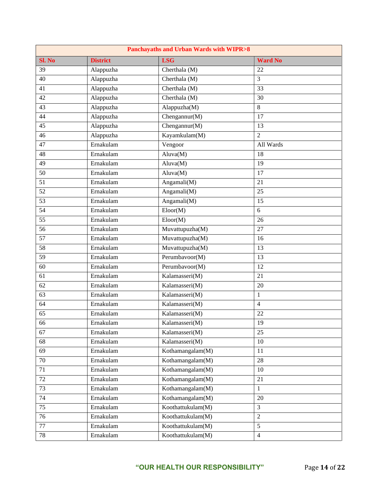| <b>Panchayaths and Urban Wards with WIPR&gt;8</b> |                 |                              |                 |  |
|---------------------------------------------------|-----------------|------------------------------|-----------------|--|
| Sl. No                                            | <b>District</b> | <b>LSG</b>                   | <b>Ward No</b>  |  |
| 39                                                | Alappuzha       | Cherthala (M)                | 22              |  |
| 40                                                | Alappuzha       | Cherthala (M)                | 3               |  |
| 41                                                | Alappuzha       | Cherthala (M)                | 33              |  |
| 42                                                | Alappuzha       | Cherthala (M)                | 30              |  |
| $\overline{43}$                                   | Alappuzha       | Alappuzha(M)                 | $\overline{8}$  |  |
| 44                                                | Alappuzha       | Chengannur(M)                | 17              |  |
| $\overline{45}$                                   | Alappuzha       | Chengannur(M)                | $\overline{13}$ |  |
| 46                                                | Alappuzha       | Kayamkulam(M)                | $\overline{2}$  |  |
| 47                                                | Ernakulam       | Vengoor                      | All Wards       |  |
| 48                                                | Ernakulam       | Aluva(M)                     | 18              |  |
| 49                                                | Ernakulam       | Aluva(M)                     | $\overline{19}$ |  |
| 50                                                | Ernakulam       | Aluva(M)                     | 17              |  |
| 51                                                | Ernakulam       | Angamali(M)                  | 21              |  |
| 52                                                | Ernakulam       | Angamali(M)                  | 25              |  |
| $\overline{53}$                                   | Ernakulam       | Angamali(M)                  | $\overline{15}$ |  |
| 54                                                | Ernakulam       | $\overline{\text{Eloor}}(M)$ | 6               |  |
| $\overline{55}$                                   | Ernakulam       | Eloor(M)                     | 26              |  |
| 56                                                | Ernakulam       | Muvattupuzha(M)              | 27              |  |
| $\overline{57}$                                   | Ernakulam       | Muvattupuzha(M)              | 16              |  |
| 58                                                | Ernakulam       | Muvattupuzha(M)              | 13              |  |
| $\overline{59}$                                   | Ernakulam       | Perumbavoor(M)               | 13              |  |
| 60                                                | Ernakulam       | Perumbavoor(M)               | 12              |  |
| 61                                                | Ernakulam       | Kalamasseri(M)               | 21              |  |
| 62                                                | Ernakulam       | Kalamasseri(M)               | 20              |  |
| $\overline{63}$                                   | Ernakulam       | Kalamasseri(M)               | $\mathbf{1}$    |  |
| 64                                                | Ernakulam       | Kalamasseri(M)               | $\overline{4}$  |  |
| $\overline{65}$                                   | Ernakulam       | Kalamasseri(M)               | 22              |  |
| 66                                                | Ernakulam       | Kalamasseri(M)               | 19              |  |
| 67                                                | Ernakulam       | Kalamasseri(M)               | 25              |  |
| 68                                                | Ernakulam       | Kalamasseri(M)               | 10              |  |
| 69                                                | Ernakulam       | Kothamangalam(M)             | 11              |  |
| $70\,$                                            | Ernakulam       | Kothamangalam(M)             | $28\,$          |  |
| 71                                                | Ernakulam       | Kothamangalam(M)             | 10              |  |
| 72                                                | Ernakulam       | Kothamangalam(M)             | 21              |  |
| 73                                                | Ernakulam       | Kothamangalam(M)             | $\,1\,$         |  |
| 74                                                | Ernakulam       | Kothamangalam(M)             | $20\,$          |  |
| 75                                                | Ernakulam       | Koothattukulam(M)            | 3               |  |
| 76                                                | Ernakulam       | Koothattukulam(M)            | $\sqrt{2}$      |  |
| 77                                                | Ernakulam       | Koothattukulam(M)            | 5               |  |
| 78                                                | Ernakulam       | Koothattukulam(M)            | $\overline{4}$  |  |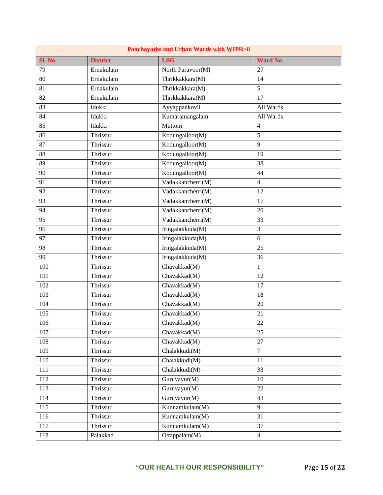| <b>Panchayaths and Urban Wards with WIPR&gt;8</b> |                 |                   |                 |  |
|---------------------------------------------------|-----------------|-------------------|-----------------|--|
| Sl. No                                            | <b>District</b> | <b>LSG</b>        | <b>Ward No</b>  |  |
| $\overline{79}$                                   | Ernakulam       | North Paravoor(M) | 27              |  |
| 80                                                | Ernakulam       | Thrikkakkara(M)   | 14              |  |
| 81                                                | Ernakulam       | Thrikkakkara(M)   | $\overline{5}$  |  |
| 82                                                | Ernakulam       | Thrikkakkara(M)   | 17              |  |
| 83                                                | Idukki          | Ayyappankovil     | All Wards       |  |
| 84                                                | Idukki          | Kumaramangalam    | All Wards       |  |
| 85                                                | Idukki          | Muttom            | $\overline{4}$  |  |
| 86                                                | Thrissur        | Kodungalloor(M)   | 5               |  |
| 87                                                | Thrissur        | Kodungalloor(M)   | 9               |  |
| 88                                                | Thrissur        | Kodungalloor(M)   | 19              |  |
| 89                                                | Thrissur        | Kodungalloor(M)   | 38              |  |
| 90                                                | Thrissur        | Kodungalloor(M)   | 44              |  |
| 91                                                | Thrissur        | Vadakkancherri(M) | $\overline{4}$  |  |
| 92                                                | Thrissur        | Vadakkancherri(M) | 12              |  |
| $\overline{93}$                                   | Thrissur        | Vadakkancherri(M) | 17              |  |
| 94                                                | Thrissur        | Vadakkancherri(M) | 20              |  |
| $\overline{95}$                                   | Thrissur        | Vadakkancherri(M) | $\overline{33}$ |  |
| 96                                                | Thrissur        | Iringalakkuda(M)  | 3               |  |
| $\overline{97}$                                   | Thrissur        | Iringalakkuda(M)  | 6               |  |
| 98                                                | Thrissur        | Iringalakkuda(M)  | 25              |  |
| 99                                                | Thrissur        | Iringalakkuda(M)  | 36              |  |
| 100                                               | Thrissur        | Chavakkad(M)      | 1               |  |
| 101                                               | Thrissur        | Chavakkad(M)      | 12              |  |
| 102                                               | Thrissur        | Chavakkad(M)      | 17              |  |
| 103                                               | Thrissur        | Chavakkad(M)      | 18              |  |
| 104                                               | Thrissur        | Chavakkad(M)      | 20              |  |
| $\overline{105}$                                  | Thrissur        | Chavakkad(M)      | 21              |  |
| 106                                               | Thrissur        | Chavakkad(M)      | $22\,$          |  |
| 107                                               | Thrissur        | Chavakkad(M)      | 25              |  |
| 108                                               | Thrissur        | Chavakkad(M)      | 27              |  |
| 109                                               | Thrissur        | Chalakkudi(M)     | $\overline{7}$  |  |
| 110                                               | Thrissur        | Chalakkudi(M)     | 11              |  |
| 111                                               | Thrissur        | Chalakkudi(M)     | 33              |  |
| 112                                               | Thrissur        | Guruvayur(M)      | 10              |  |
| 113                                               | Thrissur        | Guruvayur(M)      | 22              |  |
| 114                                               | Thrissur        | Guruvayur(M)      | 43              |  |
| 115                                               | Thrissur        | Kunnamkulam(M)    | 9               |  |
| 116                                               | Thrissur        | Kunnamkulam(M)    | 31              |  |
| 117                                               | Thrissur        | Kunnamkulam(M)    | 37              |  |
| 118                                               | Palakkad        | Ottappalam(M)     | $\overline{4}$  |  |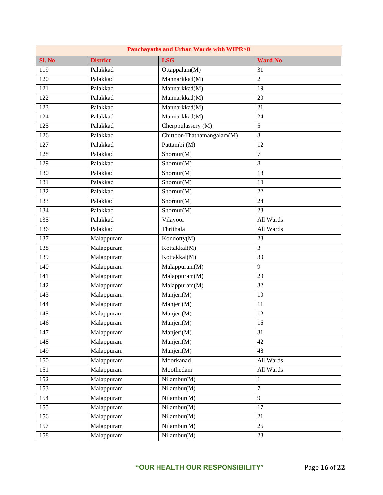| <b>Panchayaths and Urban Wards with WIPR&gt;8</b> |                 |                            |                |  |
|---------------------------------------------------|-----------------|----------------------------|----------------|--|
| Sl. No                                            | <b>District</b> | <b>LSG</b>                 | <b>Ward No</b> |  |
| 119                                               | Palakkad        | Ottappalam $(M)$           | 31             |  |
| 120                                               | Palakkad        | Mannarkkad(M)              | $\overline{2}$ |  |
| 121                                               | Palakkad        | Mannarkkad(M)              | 19             |  |
| 122                                               | Palakkad        | Mannarkkad(M)              | 20             |  |
| 123                                               | Palakkad        | Mannarkkad(M)              | 21             |  |
| 124                                               | Palakkad        | Mannarkkad(M)              | 24             |  |
| 125                                               | Palakkad        | Cherppulassery (M)         | $\overline{5}$ |  |
| 126                                               | Palakkad        | Chittoor-Thathamangalam(M) | 3              |  |
| 127                                               | Palakkad        | Pattambi (M)               | 12             |  |
| 128                                               | Palakkad        | Shornur(M)                 | $\tau$         |  |
| 129                                               | Palakkad        | Shornur(M)                 | 8              |  |
| 130                                               | Palakkad        | Shornur(M)                 | 18             |  |
| 131                                               | Palakkad        | Shornur(M)                 | 19             |  |
| 132                                               | Palakkad        | Shornur(M)                 | 22             |  |
| 133                                               | Palakkad        | Shornur(M)                 | 24             |  |
| 134                                               | Palakkad        | Shornur(M)                 | 28             |  |
| $\overline{135}$                                  | Palakkad        | Vilayoor                   | All Wards      |  |
| 136                                               | Palakkad        | Thrithala                  | All Wards      |  |
| 137                                               | Malappuram      | Kondotty(M)                | 28             |  |
| 138                                               | Malappuram      | Kottakkal(M)               | 3              |  |
| 139                                               | Malappuram      | Kottakkal(M)               | 30             |  |
| 140                                               | Malappuram      | Malappuram(M)              | 9              |  |
| 141                                               | Malappuram      | Malappuram(M)              | 29             |  |
| 142                                               | Malappuram      | Malappuram(M)              | 32             |  |
| 143                                               | Malappuram      | Manjeri(M)                 | 10             |  |
| 144                                               | Malappuram      | Manjeri(M)                 | 11             |  |
| 145                                               | Malappuram      | Manjeri(M)                 | 12             |  |
| 146                                               | Malappuram      | Manjeri(M)                 | 16             |  |
| 147                                               | Malappuram      | Manjeri(M)                 | 31             |  |
| 148                                               | Malappuram      | Manjeri(M)                 | 42             |  |
| 149                                               | Malappuram      | Manjeri(M)                 | 48             |  |
| 150                                               | Malappuram      | Moorkanad                  | All Wards      |  |
| 151                                               | Malappuram      | Moothedam                  | All Wards      |  |
| 152                                               | Malappuram      | Nilambur(M)                | $\mathbf{1}$   |  |
| 153                                               | Malappuram      | Nilambur(M)                | $\overline{7}$ |  |
| 154                                               | Malappuram      | Nilambur(M)                | 9              |  |
| 155                                               | Malappuram      | Nilambur(M)                | 17             |  |
| 156                                               | Malappuram      | Nilambur(M)                | 21             |  |
| 157                                               | Malappuram      | Nilambur(M)                | 26             |  |
| 158                                               | Malappuram      | Nilambur(M)                | 28             |  |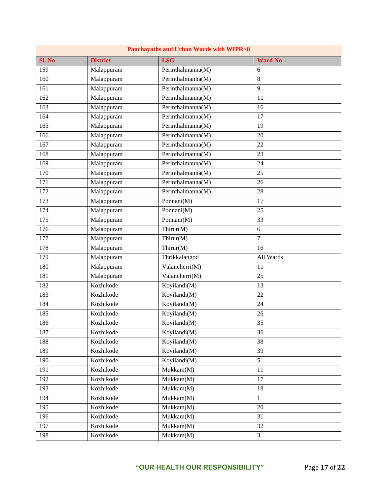|        | <b>Panchayaths and Urban Wards with WIPR&gt;8</b> |                                             |                 |  |  |
|--------|---------------------------------------------------|---------------------------------------------|-----------------|--|--|
| Sl. No | <b>District</b>                                   | <b>LSG</b>                                  | <b>Ward No</b>  |  |  |
| 159    | Malappuram                                        | Perinthalmanna(M)                           | 6               |  |  |
| 160    | Malappuram                                        | Perinthalmanna(M)                           | 8               |  |  |
| 161    | Malappuram                                        | $\overline{\mathrm{Per}}$ inthalmanna(M)    | 9               |  |  |
| 162    | Malappuram                                        | Perinthalmanna(M)                           | 11              |  |  |
| 163    | Malappuram                                        | Perinthalmanna(M)                           | 16              |  |  |
| 164    | Malappuram                                        | Perinthalmanna(M)                           | 17              |  |  |
| 165    | Malappuram                                        | Perinthalmanna(M)                           | 19              |  |  |
| 166    | Malappuram                                        | Perinthalmanna(M)                           | 20              |  |  |
| 167    | Malappuram                                        | Perinthalmanna(M)                           | 22              |  |  |
| 168    | Malappuram                                        | Perinthalmanna(M)                           | 23              |  |  |
| 169    | Malappuram                                        | Perinthalmanna(M)                           | 24              |  |  |
| 170    | Malappuram                                        | Perinthalmanna(M)                           | 25              |  |  |
| 171    | Malappuram                                        | Perinthalmanna(M)                           | 26              |  |  |
| 172    | Malappuram                                        | Perinthalmanna(M)                           | 28              |  |  |
| 173    | Malappuram                                        | Ponnani(M)                                  | 17              |  |  |
| 174    | Malappuram                                        | Ponnani(M)                                  | 25              |  |  |
| 175    | Malappuram                                        | Ponnani(M)                                  | 33              |  |  |
| 176    | Malappuram                                        | Thirur(M)                                   | 6               |  |  |
| 177    | Malappuram                                        | Thirur(M)                                   | 7               |  |  |
| 178    | Malappuram                                        | Thirur(M)                                   | 16              |  |  |
| 179    | Malappuram                                        | Thrikkalangod                               | All Wards       |  |  |
| 180    | Malappuram                                        | Valancherri(M)                              | 11              |  |  |
| 181    | Malappuram                                        | Valancherri(M)                              | $\overline{25}$ |  |  |
| 182    | Kozhikode                                         | Koyilandi(M)                                | 13              |  |  |
| 183    | Kozhikode                                         | Koyilandi(M)                                | 22              |  |  |
| 184    | Kozhikode                                         | Koyilandi(M)                                | 24              |  |  |
| 185    | Kozhikode                                         | Koyilandi(M)                                | 26              |  |  |
| 186    | Kozhikode                                         | $\overline{\mathrm{Koyilandi}(\mathrm{M})}$ | 35              |  |  |
| 187    | Kozhikode                                         | Koyilandi(M)                                | 36              |  |  |
| 188    | Kozhikode                                         | Koyilandi(M)                                | 38              |  |  |
| 189    | Kozhikode                                         | Koyilandi(M)                                | 39              |  |  |
| 190    | Kozhikode                                         | Koyilandi(M)                                | 5               |  |  |
| 191    | Kozhikode                                         | Mukkam(M)                                   | 11              |  |  |
| 192    | Kozhikode                                         | Mukkam(M)                                   | 17              |  |  |
| 193    | Kozhikode                                         | Mukkam(M)                                   | 18              |  |  |
| 194    | Kozhikode                                         | Mukkam(M)                                   | $\mathbf{1}$    |  |  |
| 195    | Kozhikode                                         | Mukkam(M)                                   | 20              |  |  |
| 196    | Kozhikode                                         | Mukkam(M)                                   | 31              |  |  |
| 197    | Kozhikode                                         | Mukkam(M)                                   | 32              |  |  |
| 198    | Kozhikode                                         | Mukkam(M)                                   | $\mathfrak{Z}$  |  |  |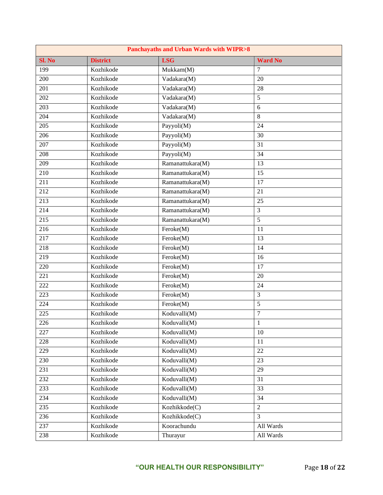| <b>Panchayaths and Urban Wards with WIPR&gt;8</b> |                 |                  |                  |
|---------------------------------------------------|-----------------|------------------|------------------|
| Sl. No                                            | <b>District</b> | <b>LSG</b>       | <b>Ward No</b>   |
| 199                                               | Kozhikode       | Mukkam(M)        | 7                |
| 200                                               | Kozhikode       | Vadakara(M)      | 20               |
| 201                                               | Kozhikode       | Vadakara(M)      | 28               |
| 202                                               | Kozhikode       | Vadakara(M)      | 5                |
| 203                                               | Kozhikode       | Vadakara(M)      | 6                |
| 204                                               | Kozhikode       | Vadakara(M)      | 8                |
| 205                                               | Kozhikode       | Payyoli(M)       | 24               |
| 206                                               | Kozhikode       | Payyoli(M)       | 30               |
| 207                                               | Kozhikode       | Payyoli(M)       | 31               |
| 208                                               | Kozhikode       | Payyoli(M)       | 34               |
| 209                                               | Kozhikode       | Ramanattukara(M) | 13               |
| 210                                               | Kozhikode       | Ramanattukara(M) | 15               |
| 211                                               | Kozhikode       | Ramanattukara(M) | 17               |
| 212                                               | Kozhikode       | Ramanattukara(M) | 21               |
| $\overline{213}$                                  | Kozhikode       | Ramanattukara(M) | 25               |
| 214                                               | Kozhikode       | Ramanattukara(M) | 3                |
| $\overline{215}$                                  | Kozhikode       | Ramanattukara(M) | 5                |
| 216                                               | Kozhikode       | Feroke(M)        | 11               |
| 217                                               | Kozhikode       | Feroke(M)        | 13               |
| 218                                               | Kozhikode       | Feroke(M)        | 14               |
| 219                                               | Kozhikode       | Feroke(M)        | 16               |
| 220                                               | Kozhikode       | Feroke(M)        | 17               |
| 221                                               | Kozhikode       | Feroke(M)        | 20               |
| 222                                               | Kozhikode       | Feroke(M)        | 24               |
| 223                                               | Kozhikode       | Feroke(M)        | 3                |
| 224                                               | Kozhikode       | Feroke(M)        | 5                |
| 225                                               | Kozhikode       | Koduvalli(M)     | $\boldsymbol{7}$ |
| 226                                               | Kozhikode       | Koduvalli(M)     | $\mathbf{1}$     |
| 227                                               | Kozhikode       | Koduvalli(M)     | 10               |
| 228                                               | Kozhikode       | Koduvalli(M)     | 11               |
| 229                                               | Kozhikode       | Koduvalli(M)     | 22               |
| 230                                               | Kozhikode       | Koduvalli(M)     | 23               |
| 231                                               | Kozhikode       | Koduvalli(M)     | 29               |
| 232                                               | Kozhikode       | Koduvalli(M)     | 31               |
| 233                                               | Kozhikode       | Koduvalli(M)     | 33               |
| 234                                               | Kozhikode       | Koduvalli(M)     | 34               |
| 235                                               | Kozhikode       | Kozhikkode(C)    | $\overline{c}$   |
| 236                                               | Kozhikode       | Kozhikkode(C)    | 3                |
| 237                                               | Kozhikode       | Koorachundu      | All Wards        |
| 238                                               | Kozhikode       | Thurayur         | All Wards        |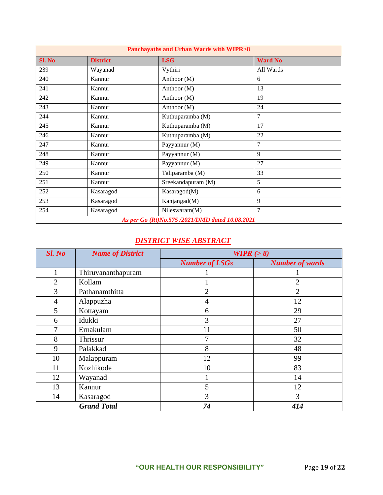| <b>Panchayaths and Urban Wards with WIPR&gt;8</b> |                 |                    |                |
|---------------------------------------------------|-----------------|--------------------|----------------|
| Sl. No                                            | <b>District</b> | <b>LSG</b>         | <b>Ward No</b> |
| 239                                               | Wayanad         | Vythiri            | All Wards      |
| 240                                               | Kannur          | Anthoor (M)        | 6              |
| 241                                               | Kannur          | Anthoor (M)        | 13             |
| 242                                               | Kannur          | Anthoor (M)        | 19             |
| 243                                               | Kannur          | Anthoor (M)        | 24             |
| 244                                               | Kannur          | Kuthuparamba (M)   | 7              |
| 245                                               | Kannur          | Kuthuparamba (M)   | 17             |
| 246                                               | Kannur          | Kuthuparamba (M)   | 22             |
| 247                                               | Kannur          | Payyannur (M)      | 7              |
| 248                                               | Kannur          | Payyannur (M)      | 9              |
| 249                                               | Kannur          | Payyannur (M)      | 27             |
| 250                                               | Kannur          | Taliparamba (M)    | 33             |
| 251                                               | Kannur          | Sreekandapuram (M) | 5              |
| 252                                               | Kasaragod       | Kasaragod(M)       | 6              |
| 253                                               | Kasaragod       | Kanjangad(M)       | 9              |
| 254                                               | Kasaragod       | Nileswaram(M)      | $\overline{7}$ |
| As per Go (Rt)No.575 /2021/DMD dated 10.08.2021   |                 |                    |                |

## *DISTRICT WISE ABSTRACT*

| Sl. No         | <b>Name of District</b> | WIPR $(>8)$           |                        |
|----------------|-------------------------|-----------------------|------------------------|
|                |                         | <b>Number of LSGs</b> | <b>Number of wards</b> |
|                | Thiruvananthapuram      |                       |                        |
| $\overline{2}$ | Kollam                  |                       | $\overline{2}$         |
| 3              | Pathanamthitta          | $\overline{2}$        | $\overline{2}$         |
| $\overline{4}$ | Alappuzha               | 4                     | 12                     |
| 5              | Kottayam                | 6                     | 29                     |
| 6              | Idukki                  | 3                     | 27                     |
| 7              | Ernakulam               | 11                    | 50                     |
| 8              | Thrissur                | 7                     | 32                     |
| 9              | Palakkad                | 8                     | 48                     |
| 10             | Malappuram              | 12                    | 99                     |
| 11             | Kozhikode               | 10                    | 83                     |
| 12             | Wayanad                 |                       | 14                     |
| 13             | Kannur                  | 5                     | 12                     |
| 14             | Kasaragod               | 3                     | 3                      |
|                | <b>Grand Total</b>      | 74                    | 414                    |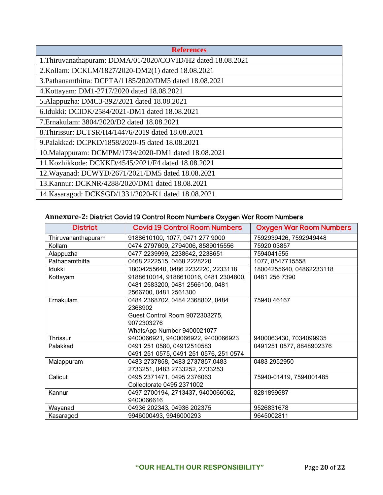| <b>References</b>                                            |  |  |
|--------------------------------------------------------------|--|--|
| 1. Thiruvanathapuram: DDMA/01/2020/COVID/H2 dated 18.08.2021 |  |  |
| 2.Kollam: DCKLM/1827/2020-DM2(1) dated 18.08.2021            |  |  |
| 3. Pathanamthitta: DCPTA/1185/2020/DM5 dated 18.08.2021      |  |  |
| 4. Kottayam: DM1-2717/2020 dated 18.08.2021                  |  |  |
| 5.Alappuzha: DMC3-392/2021 dated 18.08.2021                  |  |  |
| 6. Idukki: DCIDK/2584/2021-DM1 dated 18.08.2021              |  |  |
| 7. Ernakulam: 3804/2020/D2 dated 18.08.2021                  |  |  |
| 8. Thirissur: DCTSR/H4/14476/2019 dated 18.08.2021           |  |  |
| 9. Palakkad: DCPKD/1858/2020-J5 dated 18.08.2021             |  |  |
| 10. Malappuram: DCMPM/1734/2020-DM1 dated 18.08.2021         |  |  |
| 11. Kozhikkode: DCKKD/4545/2021/F4 dated 18.08.2021          |  |  |
| 12. Wayanad: DCWYD/2671/2021/DM5 dated 18.08.2021            |  |  |
| 13. Kannur: DCKNR/4288/2020/DM1 dated 18.08.2021             |  |  |
| 14. Kasaragod: DCKSGD/1331/2020-K1 dated 18.08.2021          |  |  |

# **Annexure-2:** District Covid 19 Control Room Numbers Oxygen War Room Numbers

| <b>District</b>    | <b>Covid 19 Control Room Numbers</b>   | <b>Oxygen War Room Numbers</b> |
|--------------------|----------------------------------------|--------------------------------|
| Thiruvananthapuram | 9188610100, 1077, 0471 277 9000        | 7592939426, 7592949448         |
| Kollam             | 0474 2797609, 2794006, 8589015556      | 75920 03857                    |
| Alappuzha          | 0477 2239999, 2238642, 2238651         | 7594041555                     |
| Pathanamthitta     | 0468 2222515, 0468 2228220             | 1077, 8547715558               |
| <b>Idukki</b>      | 18004255640, 0486 2232220, 2233118     | 18004255640, 04862233118       |
| Kottayam           | 9188610014, 9188610016, 0481 2304800,  | 0481 256 7390                  |
|                    | 0481 2583200, 0481 2566100, 0481       |                                |
|                    | 2566700, 0481 2561300                  |                                |
| Ernakulam          | 0484 2368702, 0484 2368802, 0484       | 75940 46167                    |
|                    | 2368902                                |                                |
|                    | Guest Control Room 9072303275,         |                                |
|                    | 9072303276                             |                                |
|                    | WhatsApp Number 9400021077             |                                |
| Thrissur           | 9400066921, 9400066922, 9400066923     | 9400063430, 7034099935         |
| Palakkad           | 0491 251 0580, 04912510583             | 0491251 0577, 8848902376       |
|                    | 0491 251 0575, 0491 251 0576, 251 0574 |                                |
| Malappuram         | 0483 2737858, 0483 2737857,0483        | 0483 2952950                   |
|                    | 2733251, 0483 2733252, 2733253         |                                |
| Calicut            | 0495 2371471, 0495 2376063             | 75940-01419, 7594001485        |
|                    | Collectorate 0495 2371002              |                                |
| Kannur             | 0497 2700194, 2713437, 9400066062,     | 8281899687                     |
|                    | 9400066616                             |                                |
| Wayanad            | 04936 202343, 04936 202375             | 9526831678                     |
| Kasaragod          | 9946000493, 9946000293                 | 9645002811                     |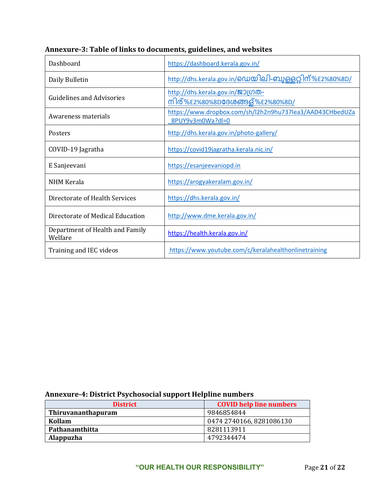| Dashboard                                  | https://dashboard.kerala.gov.in/                                             |
|--------------------------------------------|------------------------------------------------------------------------------|
| Daily Bulletin                             | http://dhs.kerala.gov.in/ഡെയിലി-ബുള്ളറ്റിന്%E2%80%8D/                        |
| <b>Guidelines and Advisories</b>           | http://dhs.kerala.gov.in/201000-<br>നിര്%E2%80%8D <b>ദേശ</b> ങ്ങള്%E2%80%8D/ |
| Awareness materials                        | https://www.dropbox.com/sh/l2h2n9hu737lea3/AAD43CHbedUZa<br>8PUY9v3m0Wa?dl=0 |
| Posters                                    | http://dhs.kerala.gov.in/photo-gallery/                                      |
| COVID-19 Jagratha                          | https://covid19jagratha.kerala.nic.in/                                       |
| E Sanjeevani                               | https://esanjeevaniopd.in                                                    |
| <b>NHM Kerala</b>                          | https://arogyakeralam.gov.in/                                                |
| Directorate of Health Services             | https://dhs.kerala.gov.in/                                                   |
| Directorate of Medical Education           | http://www.dme.kerala.gov.in/                                                |
| Department of Health and Family<br>Welfare | https://health.kerala.gov.in/                                                |
| Training and IEC videos                    | https://www.youtube.com/c/keralahealthonlinetraining                         |

# **Annexure-3: Table of links to documents, guidelines, and websites**

# **Annexure-4: District Psychosocial support Helpline numbers**

| <b>District</b>           | <b>COVID help line numbers</b> |
|---------------------------|--------------------------------|
| <b>Thiruvananthapuram</b> | 9846854844                     |
| Kollam                    | 0474 2740166, 8281086130       |
| Pathanamthitta            | 8281113911                     |
| Alappuzha                 | 4792344474                     |